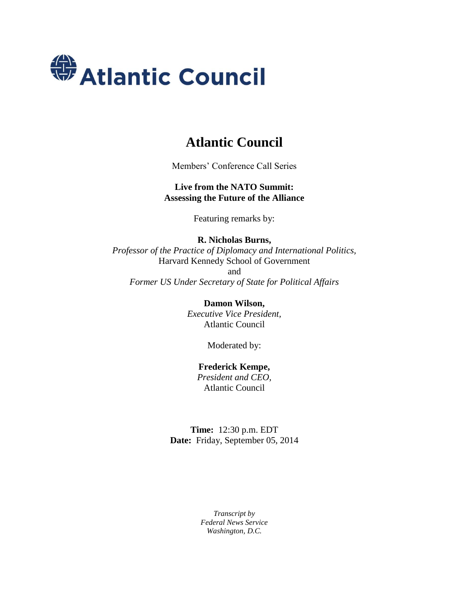

## **Atlantic Council**

Members' Conference Call Series

**Live from the NATO Summit: Assessing the Future of the Alliance**

Featuring remarks by:

**R. Nicholas Burns,** *Professor of the Practice of Diplomacy and International Politics,* Harvard Kennedy School of Government and *Former US Under Secretary of State for Political Affairs*

> **Damon Wilson,** *Executive Vice President,* Atlantic Council

> > Moderated by:

**Frederick Kempe,** *President and CEO,* Atlantic Council

**Time:** 12:30 p.m. EDT **Date:** Friday, September 05, 2014

> *Transcript by Federal News Service Washington, D.C.*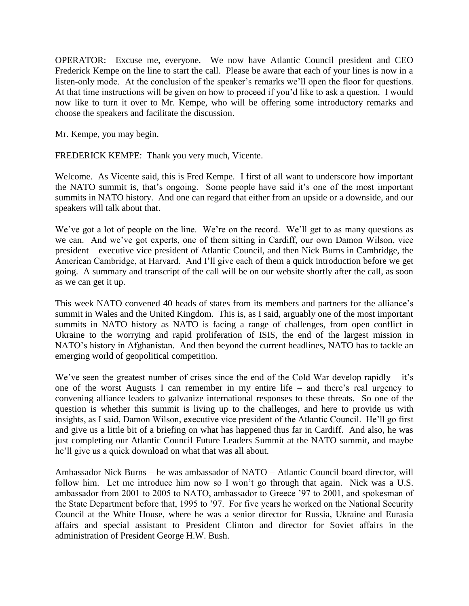OPERATOR: Excuse me, everyone. We now have Atlantic Council president and CEO Frederick Kempe on the line to start the call. Please be aware that each of your lines is now in a listen-only mode. At the conclusion of the speaker's remarks we'll open the floor for questions. At that time instructions will be given on how to proceed if you'd like to ask a question. I would now like to turn it over to Mr. Kempe, who will be offering some introductory remarks and choose the speakers and facilitate the discussion.

Mr. Kempe, you may begin.

FREDERICK KEMPE: Thank you very much, Vicente.

Welcome. As Vicente said, this is Fred Kempe. I first of all want to underscore how important the NATO summit is, that's ongoing. Some people have said it's one of the most important summits in NATO history. And one can regard that either from an upside or a downside, and our speakers will talk about that.

We've got a lot of people on the line. We're on the record. We'll get to as many questions as we can. And we've got experts, one of them sitting in Cardiff, our own Damon Wilson, vice president – executive vice president of Atlantic Council, and then Nick Burns in Cambridge, the American Cambridge, at Harvard. And I'll give each of them a quick introduction before we get going. A summary and transcript of the call will be on our website shortly after the call, as soon as we can get it up.

This week NATO convened 40 heads of states from its members and partners for the alliance's summit in Wales and the United Kingdom. This is, as I said, arguably one of the most important summits in NATO history as NATO is facing a range of challenges, from open conflict in Ukraine to the worrying and rapid proliferation of ISIS, the end of the largest mission in NATO's history in Afghanistan. And then beyond the current headlines, NATO has to tackle an emerging world of geopolitical competition.

We've seen the greatest number of crises since the end of the Cold War develop rapidly – it's one of the worst Augusts I can remember in my entire life – and there's real urgency to convening alliance leaders to galvanize international responses to these threats. So one of the question is whether this summit is living up to the challenges, and here to provide us with insights, as I said, Damon Wilson, executive vice president of the Atlantic Council. He'll go first and give us a little bit of a briefing on what has happened thus far in Cardiff. And also, he was just completing our Atlantic Council Future Leaders Summit at the NATO summit, and maybe he'll give us a quick download on what that was all about.

Ambassador Nick Burns – he was ambassador of NATO – Atlantic Council board director, will follow him. Let me introduce him now so I won't go through that again. Nick was a U.S. ambassador from 2001 to 2005 to NATO, ambassador to Greece '97 to 2001, and spokesman of the State Department before that, 1995 to '97. For five years he worked on the National Security Council at the White House, where he was a senior director for Russia, Ukraine and Eurasia affairs and special assistant to President Clinton and director for Soviet affairs in the administration of President George H.W. Bush.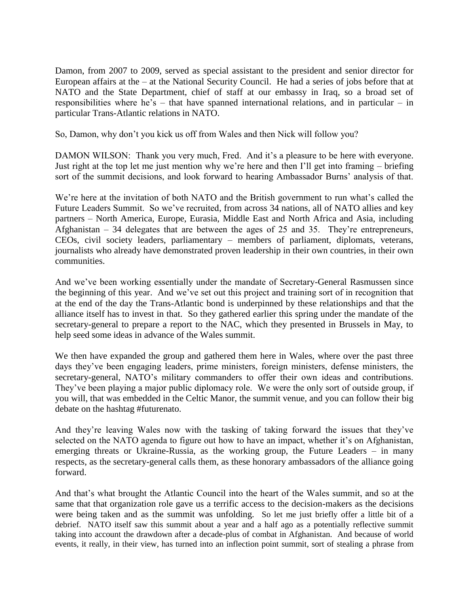Damon, from 2007 to 2009, served as special assistant to the president and senior director for European affairs at the – at the National Security Council. He had a series of jobs before that at NATO and the State Department, chief of staff at our embassy in Iraq, so a broad set of responsibilities where he's – that have spanned international relations, and in particular – in particular Trans-Atlantic relations in NATO.

So, Damon, why don't you kick us off from Wales and then Nick will follow you?

DAMON WILSON: Thank you very much, Fred. And it's a pleasure to be here with everyone. Just right at the top let me just mention why we're here and then I'll get into framing – briefing sort of the summit decisions, and look forward to hearing Ambassador Burns' analysis of that.

We're here at the invitation of both NATO and the British government to run what's called the Future Leaders Summit. So we've recruited, from across 34 nations, all of NATO allies and key partners – North America, Europe, Eurasia, Middle East and North Africa and Asia, including Afghanistan – 34 delegates that are between the ages of 25 and 35. They're entrepreneurs, CEOs, civil society leaders, parliamentary – members of parliament, diplomats, veterans, journalists who already have demonstrated proven leadership in their own countries, in their own communities.

And we've been working essentially under the mandate of Secretary-General Rasmussen since the beginning of this year. And we've set out this project and training sort of in recognition that at the end of the day the Trans-Atlantic bond is underpinned by these relationships and that the alliance itself has to invest in that. So they gathered earlier this spring under the mandate of the secretary-general to prepare a report to the NAC, which they presented in Brussels in May, to help seed some ideas in advance of the Wales summit.

We then have expanded the group and gathered them here in Wales, where over the past three days they've been engaging leaders, prime ministers, foreign ministers, defense ministers, the secretary-general, NATO's military commanders to offer their own ideas and contributions. They've been playing a major public diplomacy role. We were the only sort of outside group, if you will, that was embedded in the Celtic Manor, the summit venue, and you can follow their big debate on the hashtag #futurenato.

And they're leaving Wales now with the tasking of taking forward the issues that they've selected on the NATO agenda to figure out how to have an impact, whether it's on Afghanistan, emerging threats or Ukraine-Russia, as the working group, the Future Leaders – in many respects, as the secretary-general calls them, as these honorary ambassadors of the alliance going forward.

And that's what brought the Atlantic Council into the heart of the Wales summit, and so at the same that that organization role gave us a terrific access to the decision-makers as the decisions were being taken and as the summit was unfolding. So let me just briefly offer a little bit of a debrief. NATO itself saw this summit about a year and a half ago as a potentially reflective summit taking into account the drawdown after a decade-plus of combat in Afghanistan. And because of world events, it really, in their view, has turned into an inflection point summit, sort of stealing a phrase from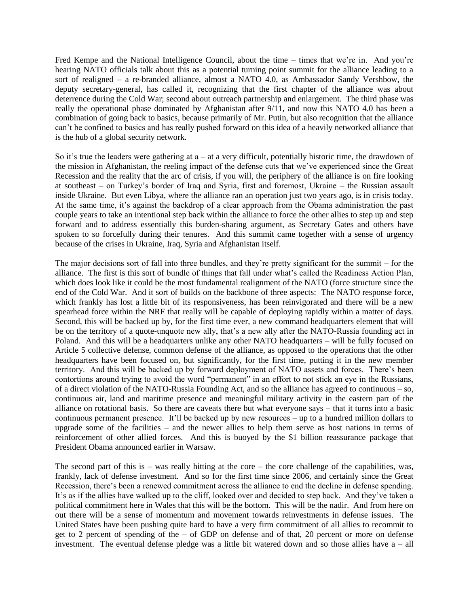Fred Kempe and the National Intelligence Council, about the time – times that we're in. And you're hearing NATO officials talk about this as a potential turning point summit for the alliance leading to a sort of realigned – a re-branded alliance, almost a NATO 4.0, as Ambassador Sandy Vershbow, the deputy secretary-general, has called it, recognizing that the first chapter of the alliance was about deterrence during the Cold War; second about outreach partnership and enlargement. The third phase was really the operational phase dominated by Afghanistan after 9/11, and now this NATO 4.0 has been a combination of going back to basics, because primarily of Mr. Putin, but also recognition that the alliance can't be confined to basics and has really pushed forward on this idea of a heavily networked alliance that is the hub of a global security network.

So it's true the leaders were gathering at  $a - at a$  very difficult, potentially historic time, the drawdown of the mission in Afghanistan, the reeling impact of the defense cuts that we've experienced since the Great Recession and the reality that the arc of crisis, if you will, the periphery of the alliance is on fire looking at southeast – on Turkey's border of Iraq and Syria, first and foremost, Ukraine – the Russian assault inside Ukraine. But even Libya, where the alliance ran an operation just two years ago, is in crisis today. At the same time, it's against the backdrop of a clear approach from the Obama administration the past couple years to take an intentional step back within the alliance to force the other allies to step up and step forward and to address essentially this burden-sharing argument, as Secretary Gates and others have spoken to so forcefully during their tenures. And this summit came together with a sense of urgency because of the crises in Ukraine, Iraq, Syria and Afghanistan itself.

The major decisions sort of fall into three bundles, and they're pretty significant for the summit – for the alliance. The first is this sort of bundle of things that fall under what's called the Readiness Action Plan, which does look like it could be the most fundamental realignment of the NATO (force structure since the end of the Cold War. And it sort of builds on the backbone of three aspects: The NATO response force, which frankly has lost a little bit of its responsiveness, has been reinvigorated and there will be a new spearhead force within the NRF that really will be capable of deploying rapidly within a matter of days. Second, this will be backed up by, for the first time ever, a new command headquarters element that will be on the territory of a quote-unquote new ally, that's a new ally after the NATO-Russia founding act in Poland. And this will be a headquarters unlike any other NATO headquarters – will be fully focused on Article 5 collective defense, common defense of the alliance, as opposed to the operations that the other headquarters have been focused on, but significantly, for the first time, putting it in the new member territory. And this will be backed up by forward deployment of NATO assets and forces. There's been contortions around trying to avoid the word "permanent" in an effort to not stick an eye in the Russians, of a direct violation of the NATO-Russia Founding Act, and so the alliance has agreed to continuous – so, continuous air, land and maritime presence and meaningful military activity in the eastern part of the alliance on rotational basis. So there are caveats there but what everyone says – that it turns into a basic continuous permanent presence. It'll be backed up by new resources – up to a hundred million dollars to upgrade some of the facilities – and the newer allies to help them serve as host nations in terms of reinforcement of other allied forces. And this is buoyed by the \$1 billion reassurance package that President Obama announced earlier in Warsaw.

The second part of this is  $-$  was really hitting at the core  $-$  the core challenge of the capabilities, was, frankly, lack of defense investment. And so for the first time since 2006, and certainly since the Great Recession, there's been a renewed commitment across the alliance to end the decline in defense spending. It's as if the allies have walked up to the cliff, looked over and decided to step back. And they've taken a political commitment here in Wales that this will be the bottom. This will be the nadir. And from here on out there will be a sense of momentum and movement towards reinvestments in defense issues. The United States have been pushing quite hard to have a very firm commitment of all allies to recommit to get to 2 percent of spending of the – of GDP on defense and of that, 20 percent or more on defense investment. The eventual defense pledge was a little bit watered down and so those allies have a – all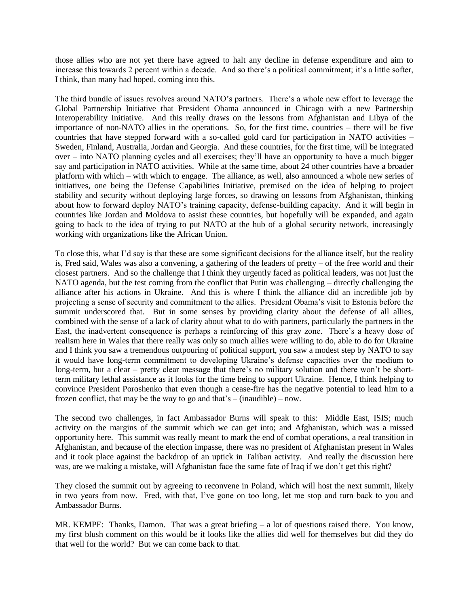those allies who are not yet there have agreed to halt any decline in defense expenditure and aim to increase this towards 2 percent within a decade. And so there's a political commitment; it's a little softer, I think, than many had hoped, coming into this.

The third bundle of issues revolves around NATO's partners. There's a whole new effort to leverage the Global Partnership Initiative that President Obama announced in Chicago with a new Partnership Interoperability Initiative. And this really draws on the lessons from Afghanistan and Libya of the importance of non-NATO allies in the operations. So, for the first time, countries – there will be five countries that have stepped forward with a so-called gold card for participation in NATO activities – Sweden, Finland, Australia, Jordan and Georgia. And these countries, for the first time, will be integrated over – into NATO planning cycles and all exercises; they'll have an opportunity to have a much bigger say and participation in NATO activities. While at the same time, about 24 other countries have a broader platform with which – with which to engage. The alliance, as well, also announced a whole new series of initiatives, one being the Defense Capabilities Initiative, premised on the idea of helping to project stability and security without deploying large forces, so drawing on lessons from Afghanistan, thinking about how to forward deploy NATO's training capacity, defense-building capacity. And it will begin in countries like Jordan and Moldova to assist these countries, but hopefully will be expanded, and again going to back to the idea of trying to put NATO at the hub of a global security network, increasingly working with organizations like the African Union.

To close this, what I'd say is that these are some significant decisions for the alliance itself, but the reality is, Fred said, Wales was also a convening, a gathering of the leaders of pretty – of the free world and their closest partners. And so the challenge that I think they urgently faced as political leaders, was not just the NATO agenda, but the test coming from the conflict that Putin was challenging – directly challenging the alliance after his actions in Ukraine. And this is where I think the alliance did an incredible job by projecting a sense of security and commitment to the allies. President Obama's visit to Estonia before the summit underscored that. But in some senses by providing clarity about the defense of all allies, combined with the sense of a lack of clarity about what to do with partners, particularly the partners in the East, the inadvertent consequence is perhaps a reinforcing of this gray zone. There's a heavy dose of realism here in Wales that there really was only so much allies were willing to do, able to do for Ukraine and I think you saw a tremendous outpouring of political support, you saw a modest step by NATO to say it would have long-term commitment to developing Ukraine's defense capacities over the medium to long-term, but a clear – pretty clear message that there's no military solution and there won't be shortterm military lethal assistance as it looks for the time being to support Ukraine. Hence, I think helping to convince President Poroshenko that even though a cease-fire has the negative potential to lead him to a frozen conflict, that may be the way to go and that's  $-$  (inaudible)  $-$  now.

The second two challenges, in fact Ambassador Burns will speak to this: Middle East, ISIS; much activity on the margins of the summit which we can get into; and Afghanistan, which was a missed opportunity here. This summit was really meant to mark the end of combat operations, a real transition in Afghanistan, and because of the election impasse, there was no president of Afghanistan present in Wales and it took place against the backdrop of an uptick in Taliban activity. And really the discussion here was, are we making a mistake, will Afghanistan face the same fate of Iraq if we don't get this right?

They closed the summit out by agreeing to reconvene in Poland, which will host the next summit, likely in two years from now. Fred, with that, I've gone on too long, let me stop and turn back to you and Ambassador Burns.

MR. KEMPE: Thanks, Damon. That was a great briefing – a lot of questions raised there. You know, my first blush comment on this would be it looks like the allies did well for themselves but did they do that well for the world? But we can come back to that.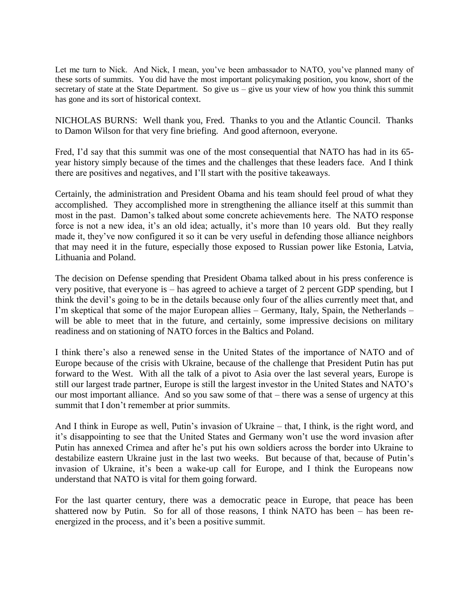Let me turn to Nick. And Nick, I mean, you've been ambassador to NATO, you've planned many of these sorts of summits. You did have the most important policymaking position, you know, short of the secretary of state at the State Department. So give us – give us your view of how you think this summit has gone and its sort of historical context.

NICHOLAS BURNS: Well thank you, Fred. Thanks to you and the Atlantic Council. Thanks to Damon Wilson for that very fine briefing. And good afternoon, everyone.

Fred, I'd say that this summit was one of the most consequential that NATO has had in its 65 year history simply because of the times and the challenges that these leaders face. And I think there are positives and negatives, and I'll start with the positive takeaways.

Certainly, the administration and President Obama and his team should feel proud of what they accomplished. They accomplished more in strengthening the alliance itself at this summit than most in the past. Damon's talked about some concrete achievements here. The NATO response force is not a new idea, it's an old idea; actually, it's more than 10 years old. But they really made it, they've now configured it so it can be very useful in defending those alliance neighbors that may need it in the future, especially those exposed to Russian power like Estonia, Latvia, Lithuania and Poland.

The decision on Defense spending that President Obama talked about in his press conference is very positive, that everyone is – has agreed to achieve a target of 2 percent GDP spending, but I think the devil's going to be in the details because only four of the allies currently meet that, and I'm skeptical that some of the major European allies – Germany, Italy, Spain, the Netherlands – will be able to meet that in the future, and certainly, some impressive decisions on military readiness and on stationing of NATO forces in the Baltics and Poland.

I think there's also a renewed sense in the United States of the importance of NATO and of Europe because of the crisis with Ukraine, because of the challenge that President Putin has put forward to the West. With all the talk of a pivot to Asia over the last several years, Europe is still our largest trade partner, Europe is still the largest investor in the United States and NATO's our most important alliance. And so you saw some of that – there was a sense of urgency at this summit that I don't remember at prior summits.

And I think in Europe as well, Putin's invasion of Ukraine – that, I think, is the right word, and it's disappointing to see that the United States and Germany won't use the word invasion after Putin has annexed Crimea and after he's put his own soldiers across the border into Ukraine to destabilize eastern Ukraine just in the last two weeks. But because of that, because of Putin's invasion of Ukraine, it's been a wake-up call for Europe, and I think the Europeans now understand that NATO is vital for them going forward.

For the last quarter century, there was a democratic peace in Europe, that peace has been shattered now by Putin. So for all of those reasons, I think NATO has been – has been reenergized in the process, and it's been a positive summit.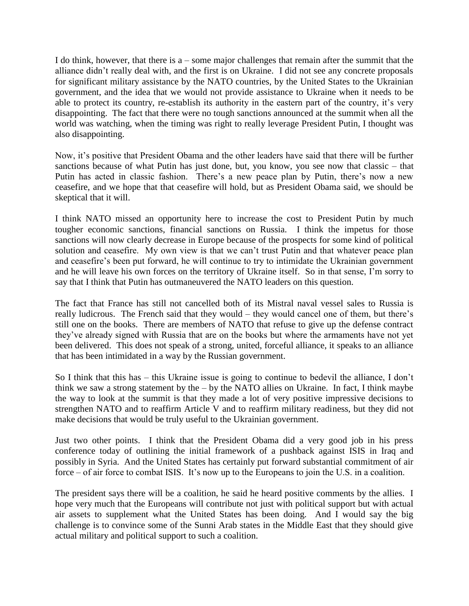I do think, however, that there is  $a$  – some major challenges that remain after the summit that the alliance didn't really deal with, and the first is on Ukraine. I did not see any concrete proposals for significant military assistance by the NATO countries, by the United States to the Ukrainian government, and the idea that we would not provide assistance to Ukraine when it needs to be able to protect its country, re-establish its authority in the eastern part of the country, it's very disappointing. The fact that there were no tough sanctions announced at the summit when all the world was watching, when the timing was right to really leverage President Putin, I thought was also disappointing.

Now, it's positive that President Obama and the other leaders have said that there will be further sanctions because of what Putin has just done, but, you know, you see now that classic – that Putin has acted in classic fashion. There's a new peace plan by Putin, there's now a new ceasefire, and we hope that that ceasefire will hold, but as President Obama said, we should be skeptical that it will.

I think NATO missed an opportunity here to increase the cost to President Putin by much tougher economic sanctions, financial sanctions on Russia. I think the impetus for those sanctions will now clearly decrease in Europe because of the prospects for some kind of political solution and ceasefire. My own view is that we can't trust Putin and that whatever peace plan and ceasefire's been put forward, he will continue to try to intimidate the Ukrainian government and he will leave his own forces on the territory of Ukraine itself. So in that sense, I'm sorry to say that I think that Putin has outmaneuvered the NATO leaders on this question.

The fact that France has still not cancelled both of its Mistral naval vessel sales to Russia is really ludicrous. The French said that they would – they would cancel one of them, but there's still one on the books. There are members of NATO that refuse to give up the defense contract they've already signed with Russia that are on the books but where the armaments have not yet been delivered. This does not speak of a strong, united, forceful alliance, it speaks to an alliance that has been intimidated in a way by the Russian government.

So I think that this has – this Ukraine issue is going to continue to bedevil the alliance, I don't think we saw a strong statement by the – by the NATO allies on Ukraine. In fact, I think maybe the way to look at the summit is that they made a lot of very positive impressive decisions to strengthen NATO and to reaffirm Article V and to reaffirm military readiness, but they did not make decisions that would be truly useful to the Ukrainian government.

Just two other points. I think that the President Obama did a very good job in his press conference today of outlining the initial framework of a pushback against ISIS in Iraq and possibly in Syria. And the United States has certainly put forward substantial commitment of air force – of air force to combat ISIS. It's now up to the Europeans to join the U.S. in a coalition.

The president says there will be a coalition, he said he heard positive comments by the allies. I hope very much that the Europeans will contribute not just with political support but with actual air assets to supplement what the United States has been doing. And I would say the big challenge is to convince some of the Sunni Arab states in the Middle East that they should give actual military and political support to such a coalition.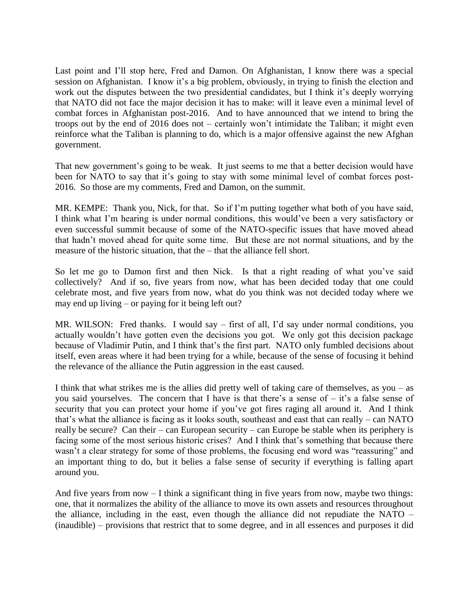Last point and I'll stop here, Fred and Damon. On Afghanistan, I know there was a special session on Afghanistan. I know it's a big problem, obviously, in trying to finish the election and work out the disputes between the two presidential candidates, but I think it's deeply worrying that NATO did not face the major decision it has to make: will it leave even a minimal level of combat forces in Afghanistan post-2016. And to have announced that we intend to bring the troops out by the end of 2016 does not – certainly won't intimidate the Taliban; it might even reinforce what the Taliban is planning to do, which is a major offensive against the new Afghan government.

That new government's going to be weak. It just seems to me that a better decision would have been for NATO to say that it's going to stay with some minimal level of combat forces post-2016. So those are my comments, Fred and Damon, on the summit.

MR. KEMPE: Thank you, Nick, for that. So if I'm putting together what both of you have said, I think what I'm hearing is under normal conditions, this would've been a very satisfactory or even successful summit because of some of the NATO-specific issues that have moved ahead that hadn't moved ahead for quite some time. But these are not normal situations, and by the measure of the historic situation, that the – that the alliance fell short.

So let me go to Damon first and then Nick. Is that a right reading of what you've said collectively? And if so, five years from now, what has been decided today that one could celebrate most, and five years from now, what do you think was not decided today where we may end up living – or paying for it being left out?

MR. WILSON: Fred thanks. I would say – first of all, I'd say under normal conditions, you actually wouldn't have gotten even the decisions you got. We only got this decision package because of Vladimir Putin, and I think that's the first part. NATO only fumbled decisions about itself, even areas where it had been trying for a while, because of the sense of focusing it behind the relevance of the alliance the Putin aggression in the east caused.

I think that what strikes me is the allies did pretty well of taking care of themselves, as you – as you said yourselves. The concern that I have is that there's a sense of – it's a false sense of security that you can protect your home if you've got fires raging all around it. And I think that's what the alliance is facing as it looks south, southeast and east that can really – can NATO really be secure? Can their – can European security – can Europe be stable when its periphery is facing some of the most serious historic crises? And I think that's something that because there wasn't a clear strategy for some of those problems, the focusing end word was "reassuring" and an important thing to do, but it belies a false sense of security if everything is falling apart around you.

And five years from now  $-$  I think a significant thing in five years from now, maybe two things: one, that it normalizes the ability of the alliance to move its own assets and resources throughout the alliance, including in the east, even though the alliance did not repudiate the NATO – (inaudible) – provisions that restrict that to some degree, and in all essences and purposes it did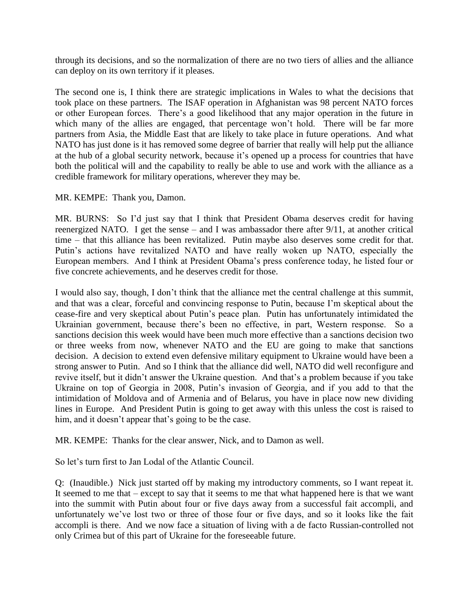through its decisions, and so the normalization of there are no two tiers of allies and the alliance can deploy on its own territory if it pleases.

The second one is, I think there are strategic implications in Wales to what the decisions that took place on these partners. The ISAF operation in Afghanistan was 98 percent NATO forces or other European forces. There's a good likelihood that any major operation in the future in which many of the allies are engaged, that percentage won't hold. There will be far more partners from Asia, the Middle East that are likely to take place in future operations. And what NATO has just done is it has removed some degree of barrier that really will help put the alliance at the hub of a global security network, because it's opened up a process for countries that have both the political will and the capability to really be able to use and work with the alliance as a credible framework for military operations, wherever they may be.

MR. KEMPE: Thank you, Damon.

MR. BURNS: So I'd just say that I think that President Obama deserves credit for having reenergized NATO. I get the sense – and I was ambassador there after 9/11, at another critical time – that this alliance has been revitalized. Putin maybe also deserves some credit for that. Putin's actions have revitalized NATO and have really woken up NATO, especially the European members. And I think at President Obama's press conference today, he listed four or five concrete achievements, and he deserves credit for those.

I would also say, though, I don't think that the alliance met the central challenge at this summit, and that was a clear, forceful and convincing response to Putin, because I'm skeptical about the cease-fire and very skeptical about Putin's peace plan. Putin has unfortunately intimidated the Ukrainian government, because there's been no effective, in part, Western response. So a sanctions decision this week would have been much more effective than a sanctions decision two or three weeks from now, whenever NATO and the EU are going to make that sanctions decision. A decision to extend even defensive military equipment to Ukraine would have been a strong answer to Putin. And so I think that the alliance did well, NATO did well reconfigure and revive itself, but it didn't answer the Ukraine question. And that's a problem because if you take Ukraine on top of Georgia in 2008, Putin's invasion of Georgia, and if you add to that the intimidation of Moldova and of Armenia and of Belarus, you have in place now new dividing lines in Europe. And President Putin is going to get away with this unless the cost is raised to him, and it doesn't appear that's going to be the case.

MR. KEMPE: Thanks for the clear answer, Nick, and to Damon as well.

So let's turn first to Jan Lodal of the Atlantic Council.

Q: (Inaudible.) Nick just started off by making my introductory comments, so I want repeat it. It seemed to me that – except to say that it seems to me that what happened here is that we want into the summit with Putin about four or five days away from a successful fait accompli, and unfortunately we've lost two or three of those four or five days, and so it looks like the fait accompli is there. And we now face a situation of living with a de facto Russian-controlled not only Crimea but of this part of Ukraine for the foreseeable future.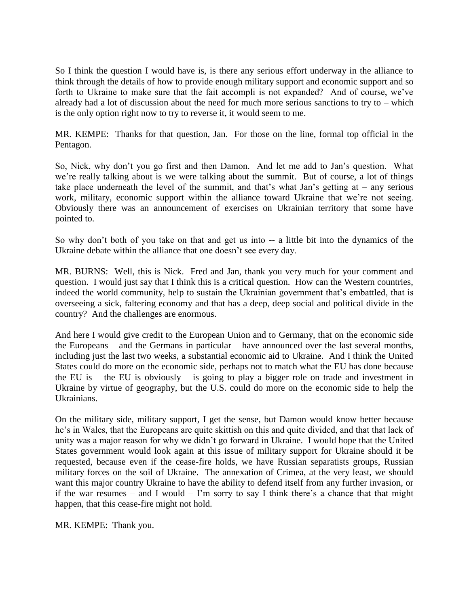So I think the question I would have is, is there any serious effort underway in the alliance to think through the details of how to provide enough military support and economic support and so forth to Ukraine to make sure that the fait accompli is not expanded? And of course, we've already had a lot of discussion about the need for much more serious sanctions to try to  $-$  which is the only option right now to try to reverse it, it would seem to me.

MR. KEMPE: Thanks for that question, Jan. For those on the line, formal top official in the Pentagon.

So, Nick, why don't you go first and then Damon. And let me add to Jan's question. What we're really talking about is we were talking about the summit. But of course, a lot of things take place underneath the level of the summit, and that's what Jan's getting at  $-$  any serious work, military, economic support within the alliance toward Ukraine that we're not seeing. Obviously there was an announcement of exercises on Ukrainian territory that some have pointed to.

So why don't both of you take on that and get us into -- a little bit into the dynamics of the Ukraine debate within the alliance that one doesn't see every day.

MR. BURNS: Well, this is Nick. Fred and Jan, thank you very much for your comment and question. I would just say that I think this is a critical question. How can the Western countries, indeed the world community, help to sustain the Ukrainian government that's embattled, that is overseeing a sick, faltering economy and that has a deep, deep social and political divide in the country? And the challenges are enormous.

And here I would give credit to the European Union and to Germany, that on the economic side the Europeans – and the Germans in particular – have announced over the last several months, including just the last two weeks, a substantial economic aid to Ukraine. And I think the United States could do more on the economic side, perhaps not to match what the EU has done because the EU is – the EU is obviously – is going to play a bigger role on trade and investment in Ukraine by virtue of geography, but the U.S. could do more on the economic side to help the Ukrainians.

On the military side, military support, I get the sense, but Damon would know better because he's in Wales, that the Europeans are quite skittish on this and quite divided, and that that lack of unity was a major reason for why we didn't go forward in Ukraine. I would hope that the United States government would look again at this issue of military support for Ukraine should it be requested, because even if the cease-fire holds, we have Russian separatists groups, Russian military forces on the soil of Ukraine. The annexation of Crimea, at the very least, we should want this major country Ukraine to have the ability to defend itself from any further invasion, or if the war resumes – and I would – I'm sorry to say I think there's a chance that that might happen, that this cease-fire might not hold.

MR. KEMPE: Thank you.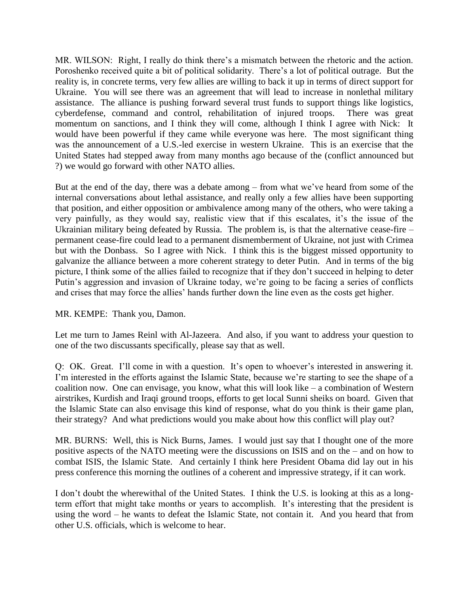MR. WILSON: Right, I really do think there's a mismatch between the rhetoric and the action. Poroshenko received quite a bit of political solidarity. There's a lot of political outrage. But the reality is, in concrete terms, very few allies are willing to back it up in terms of direct support for Ukraine. You will see there was an agreement that will lead to increase in nonlethal military assistance. The alliance is pushing forward several trust funds to support things like logistics, cyberdefense, command and control, rehabilitation of injured troops. There was great momentum on sanctions, and I think they will come, although I think I agree with Nick: It would have been powerful if they came while everyone was here. The most significant thing was the announcement of a U.S.-led exercise in western Ukraine. This is an exercise that the United States had stepped away from many months ago because of the (conflict announced but ?) we would go forward with other NATO allies.

But at the end of the day, there was a debate among – from what we've heard from some of the internal conversations about lethal assistance, and really only a few allies have been supporting that position, and either opposition or ambivalence among many of the others, who were taking a very painfully, as they would say, realistic view that if this escalates, it's the issue of the Ukrainian military being defeated by Russia. The problem is, is that the alternative cease-fire – permanent cease-fire could lead to a permanent dismemberment of Ukraine, not just with Crimea but with the Donbass. So I agree with Nick. I think this is the biggest missed opportunity to galvanize the alliance between a more coherent strategy to deter Putin. And in terms of the big picture, I think some of the allies failed to recognize that if they don't succeed in helping to deter Putin's aggression and invasion of Ukraine today, we're going to be facing a series of conflicts and crises that may force the allies' hands further down the line even as the costs get higher.

## MR. KEMPE: Thank you, Damon.

Let me turn to James Reinl with Al-Jazeera. And also, if you want to address your question to one of the two discussants specifically, please say that as well.

Q: OK. Great. I'll come in with a question. It's open to whoever's interested in answering it. I'm interested in the efforts against the Islamic State, because we're starting to see the shape of a coalition now. One can envisage, you know, what this will look like – a combination of Western airstrikes, Kurdish and Iraqi ground troops, efforts to get local Sunni sheiks on board. Given that the Islamic State can also envisage this kind of response, what do you think is their game plan, their strategy? And what predictions would you make about how this conflict will play out?

MR. BURNS: Well, this is Nick Burns, James. I would just say that I thought one of the more positive aspects of the NATO meeting were the discussions on ISIS and on the – and on how to combat ISIS, the Islamic State. And certainly I think here President Obama did lay out in his press conference this morning the outlines of a coherent and impressive strategy, if it can work.

I don't doubt the wherewithal of the United States. I think the U.S. is looking at this as a longterm effort that might take months or years to accomplish. It's interesting that the president is using the word – he wants to defeat the Islamic State, not contain it. And you heard that from other U.S. officials, which is welcome to hear.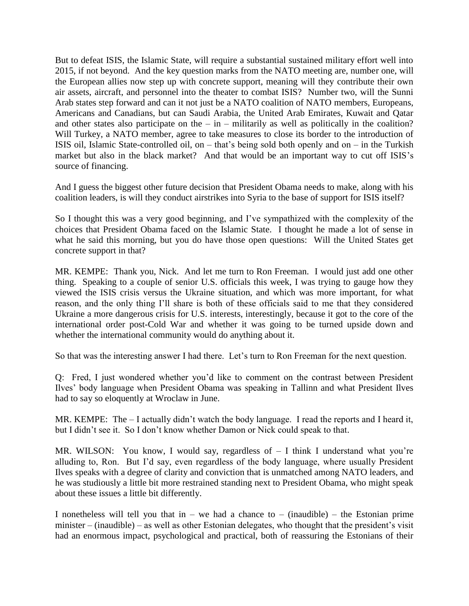But to defeat ISIS, the Islamic State, will require a substantial sustained military effort well into 2015, if not beyond. And the key question marks from the NATO meeting are, number one, will the European allies now step up with concrete support, meaning will they contribute their own air assets, aircraft, and personnel into the theater to combat ISIS? Number two, will the Sunni Arab states step forward and can it not just be a NATO coalition of NATO members, Europeans, Americans and Canadians, but can Saudi Arabia, the United Arab Emirates, Kuwait and Qatar and other states also participate on the  $-$  in  $-$  militarily as well as politically in the coalition? Will Turkey, a NATO member, agree to take measures to close its border to the introduction of ISIS oil, Islamic State-controlled oil, on – that's being sold both openly and on – in the Turkish market but also in the black market? And that would be an important way to cut off ISIS's source of financing.

And I guess the biggest other future decision that President Obama needs to make, along with his coalition leaders, is will they conduct airstrikes into Syria to the base of support for ISIS itself?

So I thought this was a very good beginning, and I've sympathized with the complexity of the choices that President Obama faced on the Islamic State. I thought he made a lot of sense in what he said this morning, but you do have those open questions: Will the United States get concrete support in that?

MR. KEMPE: Thank you, Nick. And let me turn to Ron Freeman. I would just add one other thing. Speaking to a couple of senior U.S. officials this week, I was trying to gauge how they viewed the ISIS crisis versus the Ukraine situation, and which was more important, for what reason, and the only thing I'll share is both of these officials said to me that they considered Ukraine a more dangerous crisis for U.S. interests, interestingly, because it got to the core of the international order post-Cold War and whether it was going to be turned upside down and whether the international community would do anything about it.

So that was the interesting answer I had there. Let's turn to Ron Freeman for the next question.

Q: Fred, I just wondered whether you'd like to comment on the contrast between President Ilves' body language when President Obama was speaking in Tallinn and what President Ilves had to say so eloquently at Wroclaw in June.

MR. KEMPE: The  $-$  I actually didn't watch the body language. I read the reports and I heard it, but I didn't see it. So I don't know whether Damon or Nick could speak to that.

MR. WILSON: You know, I would say, regardless of  $-$  I think I understand what you're alluding to, Ron. But I'd say, even regardless of the body language, where usually President Ilves speaks with a degree of clarity and conviction that is unmatched among NATO leaders, and he was studiously a little bit more restrained standing next to President Obama, who might speak about these issues a little bit differently.

I nonetheless will tell you that in – we had a chance to – (inaudible) – the Estonian prime minister – (inaudible) – as well as other Estonian delegates, who thought that the president's visit had an enormous impact, psychological and practical, both of reassuring the Estonians of their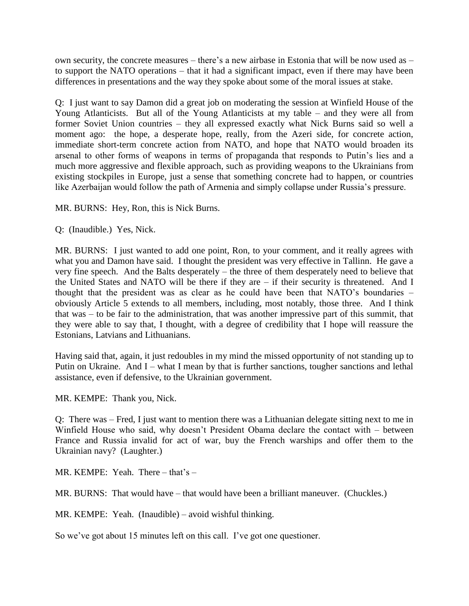own security, the concrete measures – there's a new airbase in Estonia that will be now used as – to support the NATO operations – that it had a significant impact, even if there may have been differences in presentations and the way they spoke about some of the moral issues at stake.

Q: I just want to say Damon did a great job on moderating the session at Winfield House of the Young Atlanticists. But all of the Young Atlanticists at my table – and they were all from former Soviet Union countries – they all expressed exactly what Nick Burns said so well a moment ago: the hope, a desperate hope, really, from the Azeri side, for concrete action, immediate short-term concrete action from NATO, and hope that NATO would broaden its arsenal to other forms of weapons in terms of propaganda that responds to Putin's lies and a much more aggressive and flexible approach, such as providing weapons to the Ukrainians from existing stockpiles in Europe, just a sense that something concrete had to happen, or countries like Azerbaijan would follow the path of Armenia and simply collapse under Russia's pressure.

MR. BURNS: Hey, Ron, this is Nick Burns.

Q: (Inaudible.) Yes, Nick.

MR. BURNS: I just wanted to add one point, Ron, to your comment, and it really agrees with what you and Damon have said. I thought the president was very effective in Tallinn. He gave a very fine speech. And the Balts desperately – the three of them desperately need to believe that the United States and NATO will be there if they are – if their security is threatened. And I thought that the president was as clear as he could have been that NATO's boundaries – obviously Article 5 extends to all members, including, most notably, those three. And I think that was – to be fair to the administration, that was another impressive part of this summit, that they were able to say that, I thought, with a degree of credibility that I hope will reassure the Estonians, Latvians and Lithuanians.

Having said that, again, it just redoubles in my mind the missed opportunity of not standing up to Putin on Ukraine. And I – what I mean by that is further sanctions, tougher sanctions and lethal assistance, even if defensive, to the Ukrainian government.

MR. KEMPE: Thank you, Nick.

Q: There was – Fred, I just want to mention there was a Lithuanian delegate sitting next to me in Winfield House who said, why doesn't President Obama declare the contact with – between France and Russia invalid for act of war, buy the French warships and offer them to the Ukrainian navy? (Laughter.)

MR. KEMPE: Yeah. There – that's –

MR. BURNS: That would have – that would have been a brilliant maneuver. (Chuckles.)

MR. KEMPE: Yeah. (Inaudible) – avoid wishful thinking.

So we've got about 15 minutes left on this call. I've got one questioner.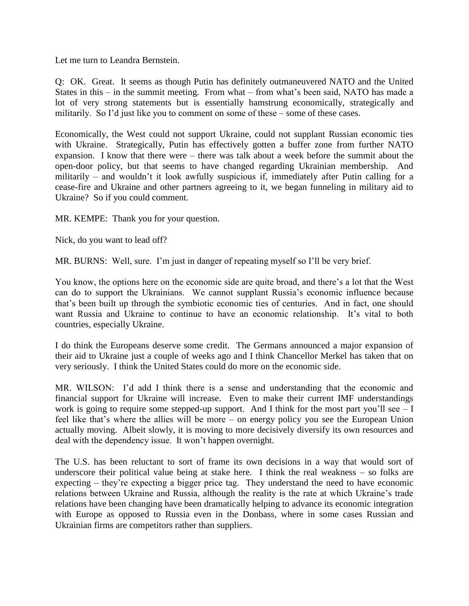Let me turn to Leandra Bernstein.

Q: OK. Great. It seems as though Putin has definitely outmaneuvered NATO and the United States in this – in the summit meeting. From what – from what's been said, NATO has made a lot of very strong statements but is essentially hamstrung economically, strategically and militarily. So I'd just like you to comment on some of these – some of these cases.

Economically, the West could not support Ukraine, could not supplant Russian economic ties with Ukraine. Strategically, Putin has effectively gotten a buffer zone from further NATO expansion. I know that there were – there was talk about a week before the summit about the open-door policy, but that seems to have changed regarding Ukrainian membership. And militarily – and wouldn't it look awfully suspicious if, immediately after Putin calling for a cease-fire and Ukraine and other partners agreeing to it, we began funneling in military aid to Ukraine? So if you could comment.

MR. KEMPE: Thank you for your question.

Nick, do you want to lead off?

MR. BURNS: Well, sure. I'm just in danger of repeating myself so I'll be very brief.

You know, the options here on the economic side are quite broad, and there's a lot that the West can do to support the Ukrainians. We cannot supplant Russia's economic influence because that's been built up through the symbiotic economic ties of centuries. And in fact, one should want Russia and Ukraine to continue to have an economic relationship. It's vital to both countries, especially Ukraine.

I do think the Europeans deserve some credit. The Germans announced a major expansion of their aid to Ukraine just a couple of weeks ago and I think Chancellor Merkel has taken that on very seriously. I think the United States could do more on the economic side.

MR. WILSON: I'd add I think there is a sense and understanding that the economic and financial support for Ukraine will increase. Even to make their current IMF understandings work is going to require some stepped-up support. And I think for the most part you'll see  $-1$ feel like that's where the allies will be more – on energy policy you see the European Union actually moving. Albeit slowly, it is moving to more decisively diversify its own resources and deal with the dependency issue. It won't happen overnight.

The U.S. has been reluctant to sort of frame its own decisions in a way that would sort of underscore their political value being at stake here. I think the real weakness – so folks are expecting – they're expecting a bigger price tag. They understand the need to have economic relations between Ukraine and Russia, although the reality is the rate at which Ukraine's trade relations have been changing have been dramatically helping to advance its economic integration with Europe as opposed to Russia even in the Donbass, where in some cases Russian and Ukrainian firms are competitors rather than suppliers.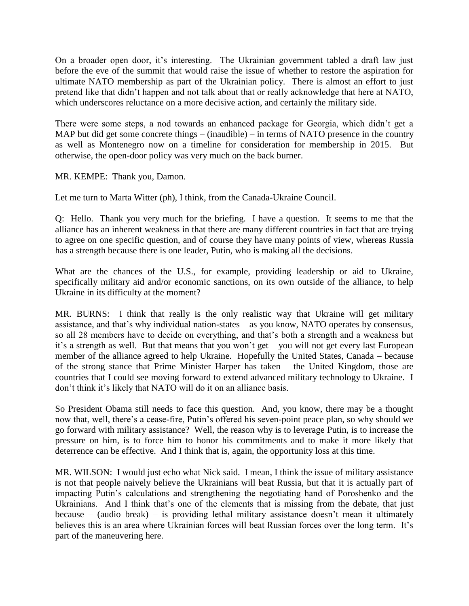On a broader open door, it's interesting. The Ukrainian government tabled a draft law just before the eve of the summit that would raise the issue of whether to restore the aspiration for ultimate NATO membership as part of the Ukrainian policy. There is almost an effort to just pretend like that didn't happen and not talk about that or really acknowledge that here at NATO, which underscores reluctance on a more decisive action, and certainly the military side.

There were some steps, a nod towards an enhanced package for Georgia, which didn't get a MAP but did get some concrete things – (inaudible) – in terms of NATO presence in the country as well as Montenegro now on a timeline for consideration for membership in 2015. But otherwise, the open-door policy was very much on the back burner.

MR. KEMPE: Thank you, Damon.

Let me turn to Marta Witter (ph), I think, from the Canada-Ukraine Council.

Q: Hello. Thank you very much for the briefing. I have a question. It seems to me that the alliance has an inherent weakness in that there are many different countries in fact that are trying to agree on one specific question, and of course they have many points of view, whereas Russia has a strength because there is one leader, Putin, who is making all the decisions.

What are the chances of the U.S., for example, providing leadership or aid to Ukraine, specifically military aid and/or economic sanctions, on its own outside of the alliance, to help Ukraine in its difficulty at the moment?

MR. BURNS: I think that really is the only realistic way that Ukraine will get military assistance, and that's why individual nation-states – as you know, NATO operates by consensus, so all 28 members have to decide on everything, and that's both a strength and a weakness but it's a strength as well. But that means that you won't get – you will not get every last European member of the alliance agreed to help Ukraine. Hopefully the United States, Canada – because of the strong stance that Prime Minister Harper has taken – the United Kingdom, those are countries that I could see moving forward to extend advanced military technology to Ukraine. I don't think it's likely that NATO will do it on an alliance basis.

So President Obama still needs to face this question. And, you know, there may be a thought now that, well, there's a cease-fire, Putin's offered his seven-point peace plan, so why should we go forward with military assistance? Well, the reason why is to leverage Putin, is to increase the pressure on him, is to force him to honor his commitments and to make it more likely that deterrence can be effective. And I think that is, again, the opportunity loss at this time.

MR. WILSON: I would just echo what Nick said. I mean, I think the issue of military assistance is not that people naively believe the Ukrainians will beat Russia, but that it is actually part of impacting Putin's calculations and strengthening the negotiating hand of Poroshenko and the Ukrainians. And I think that's one of the elements that is missing from the debate, that just because – (audio break) – is providing lethal military assistance doesn't mean it ultimately believes this is an area where Ukrainian forces will beat Russian forces over the long term. It's part of the maneuvering here.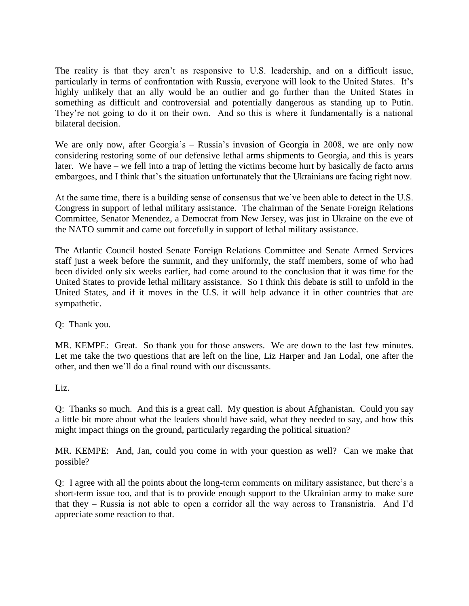The reality is that they aren't as responsive to U.S. leadership, and on a difficult issue, particularly in terms of confrontation with Russia, everyone will look to the United States. It's highly unlikely that an ally would be an outlier and go further than the United States in something as difficult and controversial and potentially dangerous as standing up to Putin. They're not going to do it on their own. And so this is where it fundamentally is a national bilateral decision.

We are only now, after Georgia's – Russia's invasion of Georgia in 2008, we are only now considering restoring some of our defensive lethal arms shipments to Georgia, and this is years later. We have – we fell into a trap of letting the victims become hurt by basically de facto arms embargoes, and I think that's the situation unfortunately that the Ukrainians are facing right now.

At the same time, there is a building sense of consensus that we've been able to detect in the U.S. Congress in support of lethal military assistance. The chairman of the Senate Foreign Relations Committee, Senator Menendez, a Democrat from New Jersey, was just in Ukraine on the eve of the NATO summit and came out forcefully in support of lethal military assistance.

The Atlantic Council hosted Senate Foreign Relations Committee and Senate Armed Services staff just a week before the summit, and they uniformly, the staff members, some of who had been divided only six weeks earlier, had come around to the conclusion that it was time for the United States to provide lethal military assistance. So I think this debate is still to unfold in the United States, and if it moves in the U.S. it will help advance it in other countries that are sympathetic.

Q: Thank you.

MR. KEMPE: Great. So thank you for those answers. We are down to the last few minutes. Let me take the two questions that are left on the line, Liz Harper and Jan Lodal, one after the other, and then we'll do a final round with our discussants.

Liz.

Q: Thanks so much. And this is a great call. My question is about Afghanistan. Could you say a little bit more about what the leaders should have said, what they needed to say, and how this might impact things on the ground, particularly regarding the political situation?

MR. KEMPE: And, Jan, could you come in with your question as well? Can we make that possible?

Q: I agree with all the points about the long-term comments on military assistance, but there's a short-term issue too, and that is to provide enough support to the Ukrainian army to make sure that they – Russia is not able to open a corridor all the way across to Transnistria. And I'd appreciate some reaction to that.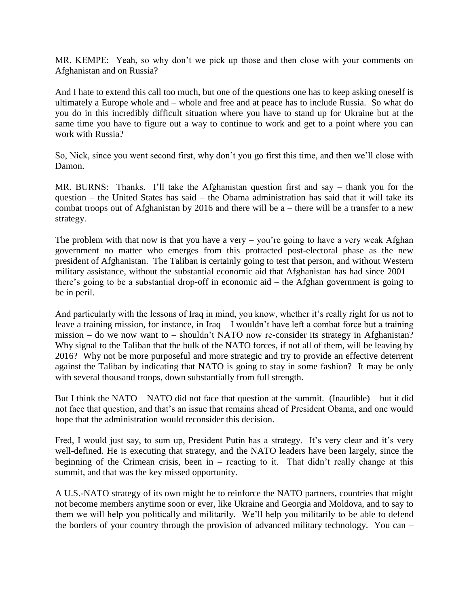MR. KEMPE: Yeah, so why don't we pick up those and then close with your comments on Afghanistan and on Russia?

And I hate to extend this call too much, but one of the questions one has to keep asking oneself is ultimately a Europe whole and – whole and free and at peace has to include Russia. So what do you do in this incredibly difficult situation where you have to stand up for Ukraine but at the same time you have to figure out a way to continue to work and get to a point where you can work with Russia?

So, Nick, since you went second first, why don't you go first this time, and then we'll close with Damon.

MR. BURNS: Thanks. I'll take the Afghanistan question first and say – thank you for the question – the United States has said – the Obama administration has said that it will take its combat troops out of Afghanistan by 2016 and there will be a – there will be a transfer to a new strategy.

The problem with that now is that you have a very – you're going to have a very weak Afghan government no matter who emerges from this protracted post-electoral phase as the new president of Afghanistan. The Taliban is certainly going to test that person, and without Western military assistance, without the substantial economic aid that Afghanistan has had since 2001 – there's going to be a substantial drop-off in economic aid – the Afghan government is going to be in peril.

And particularly with the lessons of Iraq in mind, you know, whether it's really right for us not to leave a training mission, for instance, in Iraq – I wouldn't have left a combat force but a training mission – do we now want to – shouldn't NATO now re-consider its strategy in Afghanistan? Why signal to the Taliban that the bulk of the NATO forces, if not all of them, will be leaving by 2016? Why not be more purposeful and more strategic and try to provide an effective deterrent against the Taliban by indicating that NATO is going to stay in some fashion? It may be only with several thousand troops, down substantially from full strength.

But I think the NATO – NATO did not face that question at the summit. (Inaudible) – but it did not face that question, and that's an issue that remains ahead of President Obama, and one would hope that the administration would reconsider this decision.

Fred, I would just say, to sum up, President Putin has a strategy. It's very clear and it's very well-defined. He is executing that strategy, and the NATO leaders have been largely, since the beginning of the Crimean crisis, been in – reacting to it. That didn't really change at this summit, and that was the key missed opportunity.

A U.S.-NATO strategy of its own might be to reinforce the NATO partners, countries that might not become members anytime soon or ever, like Ukraine and Georgia and Moldova, and to say to them we will help you politically and militarily. We'll help you militarily to be able to defend the borders of your country through the provision of advanced military technology. You can –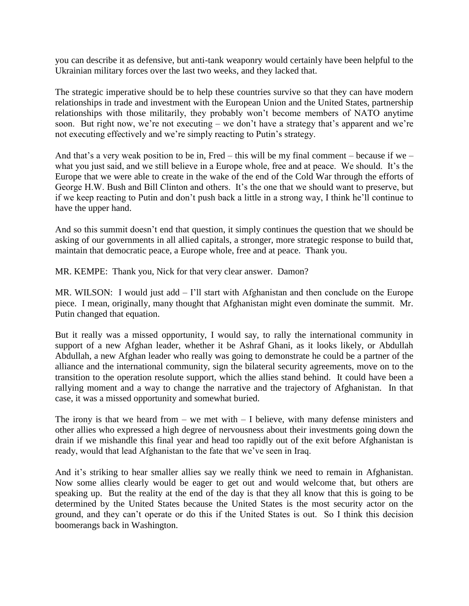you can describe it as defensive, but anti-tank weaponry would certainly have been helpful to the Ukrainian military forces over the last two weeks, and they lacked that.

The strategic imperative should be to help these countries survive so that they can have modern relationships in trade and investment with the European Union and the United States, partnership relationships with those militarily, they probably won't become members of NATO anytime soon. But right now, we're not executing – we don't have a strategy that's apparent and we're not executing effectively and we're simply reacting to Putin's strategy.

And that's a very weak position to be in, Fred – this will be my final comment – because if we – what you just said, and we still believe in a Europe whole, free and at peace. We should. It's the Europe that we were able to create in the wake of the end of the Cold War through the efforts of George H.W. Bush and Bill Clinton and others. It's the one that we should want to preserve, but if we keep reacting to Putin and don't push back a little in a strong way, I think he'll continue to have the upper hand.

And so this summit doesn't end that question, it simply continues the question that we should be asking of our governments in all allied capitals, a stronger, more strategic response to build that, maintain that democratic peace, a Europe whole, free and at peace. Thank you.

MR. KEMPE: Thank you, Nick for that very clear answer. Damon?

MR. WILSON: I would just add – I'll start with Afghanistan and then conclude on the Europe piece. I mean, originally, many thought that Afghanistan might even dominate the summit. Mr. Putin changed that equation.

But it really was a missed opportunity, I would say, to rally the international community in support of a new Afghan leader, whether it be Ashraf Ghani, as it looks likely, or Abdullah Abdullah, a new Afghan leader who really was going to demonstrate he could be a partner of the alliance and the international community, sign the bilateral security agreements, move on to the transition to the operation resolute support, which the allies stand behind. It could have been a rallying moment and a way to change the narrative and the trajectory of Afghanistan. In that case, it was a missed opportunity and somewhat buried.

The irony is that we heard from  $-$  we met with  $-$  I believe, with many defense ministers and other allies who expressed a high degree of nervousness about their investments going down the drain if we mishandle this final year and head too rapidly out of the exit before Afghanistan is ready, would that lead Afghanistan to the fate that we've seen in Iraq.

And it's striking to hear smaller allies say we really think we need to remain in Afghanistan. Now some allies clearly would be eager to get out and would welcome that, but others are speaking up. But the reality at the end of the day is that they all know that this is going to be determined by the United States because the United States is the most security actor on the ground, and they can't operate or do this if the United States is out. So I think this decision boomerangs back in Washington.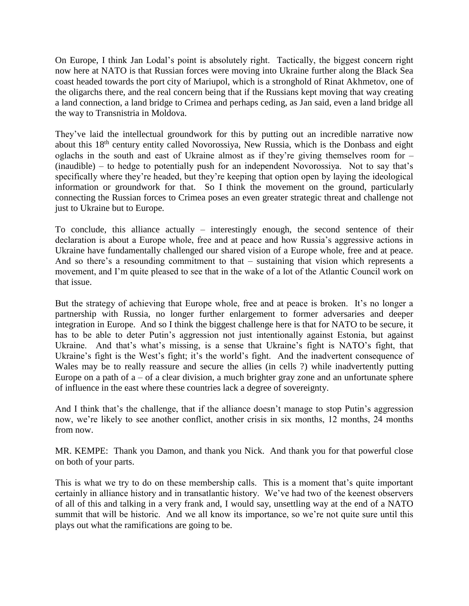On Europe, I think Jan Lodal's point is absolutely right. Tactically, the biggest concern right now here at NATO is that Russian forces were moving into Ukraine further along the Black Sea coast headed towards the port city of Mariupol, which is a stronghold of Rinat Akhmetov, one of the oligarchs there, and the real concern being that if the Russians kept moving that way creating a land connection, a land bridge to Crimea and perhaps ceding, as Jan said, even a land bridge all the way to Transnistria in Moldova.

They've laid the intellectual groundwork for this by putting out an incredible narrative now about this 18th century entity called Novorossiya, New Russia, which is the Donbass and eight oglachs in the south and east of Ukraine almost as if they're giving themselves room for – (inaudible) – to hedge to potentially push for an independent Novorossiya. Not to say that's specifically where they're headed, but they're keeping that option open by laying the ideological information or groundwork for that. So I think the movement on the ground, particularly connecting the Russian forces to Crimea poses an even greater strategic threat and challenge not just to Ukraine but to Europe.

To conclude, this alliance actually – interestingly enough, the second sentence of their declaration is about a Europe whole, free and at peace and how Russia's aggressive actions in Ukraine have fundamentally challenged our shared vision of a Europe whole, free and at peace. And so there's a resounding commitment to that – sustaining that vision which represents a movement, and I'm quite pleased to see that in the wake of a lot of the Atlantic Council work on that issue.

But the strategy of achieving that Europe whole, free and at peace is broken. It's no longer a partnership with Russia, no longer further enlargement to former adversaries and deeper integration in Europe. And so I think the biggest challenge here is that for NATO to be secure, it has to be able to deter Putin's aggression not just intentionally against Estonia, but against Ukraine. And that's what's missing, is a sense that Ukraine's fight is NATO's fight, that Ukraine's fight is the West's fight; it's the world's fight. And the inadvertent consequence of Wales may be to really reassure and secure the allies (in cells ?) while inadvertently putting Europe on a path of  $a - of a clear division$ , a much brighter gray zone and an unfortunate sphere of influence in the east where these countries lack a degree of sovereignty.

And I think that's the challenge, that if the alliance doesn't manage to stop Putin's aggression now, we're likely to see another conflict, another crisis in six months, 12 months, 24 months from now.

MR. KEMPE: Thank you Damon, and thank you Nick. And thank you for that powerful close on both of your parts.

This is what we try to do on these membership calls. This is a moment that's quite important certainly in alliance history and in transatlantic history. We've had two of the keenest observers of all of this and talking in a very frank and, I would say, unsettling way at the end of a NATO summit that will be historic. And we all know its importance, so we're not quite sure until this plays out what the ramifications are going to be.